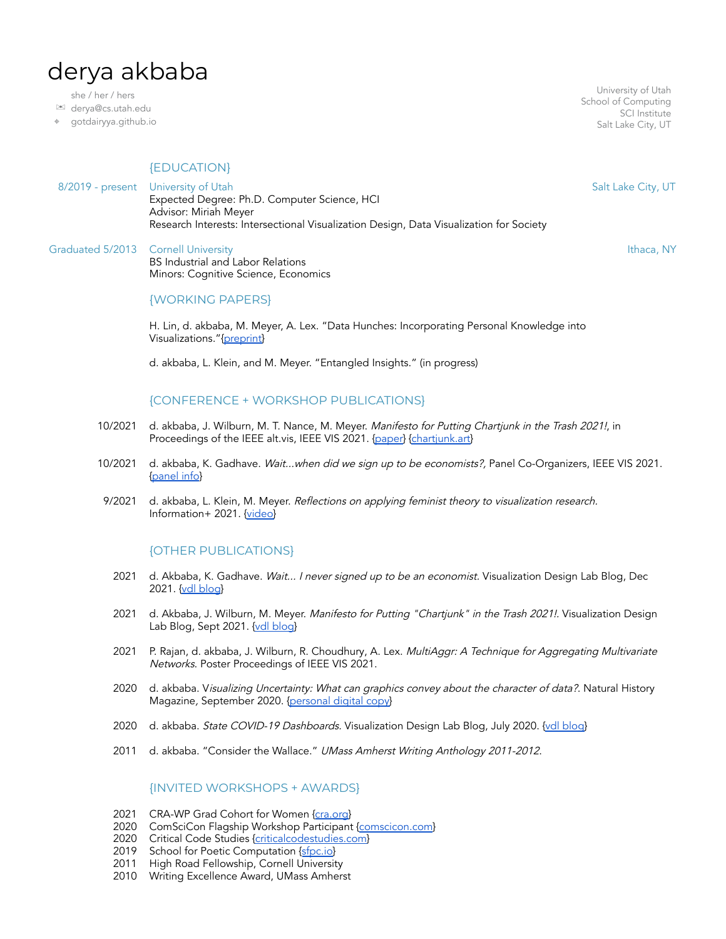# derya akbaba

she / her / hers

✉ derya@cs.utah.edu

⌖ [gotdairyya.github.io](http://gotdairyya.github.io)

## {EDUCATION}

8/2019 - present University of Utah Expected Degree: Ph.D. Computer Science, HCI Advisor: Miriah Meyer Research Interests: Intersectional Visualization Design, Data Visualization for Society

Graduated 5/2013 Cornell University **Ithaca, NY** Series and The Cornell University **Ithaca**, NY Series and The Cornell University **Ithaca**, NY BS Industrial and Labor Relations Minors: Cognitive Science, Economics

#### {WORKING PAPERS}

H. Lin, d. akbaba, M. Meyer, A. Lex. "Data Hunches: Incorporating Personal Knowledge into Visualizations."{[preprint}](https://vdl.sci.utah.edu/publications/2021_preprint_data-hunches/)

d. akbaba, L. Klein, and M. Meyer. "Entangled Insights." (in progress)

#### {CONFERENCE + WORKSHOP PUBLICATIONS}

- 10/2021 d. akbaba, J. Wilburn, M. T. Nance, M. Meyer. Manifesto for Putting Chartjunk in the Trash 2021!, in Proceedings of the IEEE alt.vis, IEEE VIS 2021. [{paper](https://arxiv.org/abs/2109.10132)} [{chartjunk.art}](http://chartjunk.art)
- 10/2021 d. akbaba, K. Gadhave. Wait...when did we sign up to be economists?, Panel Co-Organizers, IEEE VIS 2021. [{panel](https://fairpayvis2021.github.io/fairpayvis2021/) info}
- 9/2021 d. akbaba, L. Klein, M. Meyer. Reflections on applying feminist theory to visualization research. Information+ 2021. [{video}](https://vimeo.com/592256059)

## {OTHER PUBLICATIONS}

- 2021 d. Akbaba, K. Gadhave. Wait... I never signed up to be an economist. Visualization Design Lab Blog, Dec 2021. {vdl [blog](https://vdl.sci.utah.edu/blog/2021/12/08/fair-pay-panel/)}
- 2021 d. Akbaba, J. Wilburn, M. Meyer. Manifesto for Putting "Chartjunk" in the Trash 2021!. Visualization Design Lab Blog, Sept 2021. {vdl [blog](https://vdl.sci.utah.edu/blog/2021/09/19/chartjunk/)}
- 2021 P. Rajan, d. akbaba, J. Wilburn, R. Choudhury, A. Lex. MultiAggr: A Technique for Aggregating Multivariate Networks. Poster Proceedings of IEEE VIS 2021.
- 2020 d. akbaba. Visualizing Uncertainty: What can graphics convey about the character of data?. Natural History Magazine, September 2020. [{personal](https://gotdairyya.github.io/assets/images/nh/Sep20-NH-digital-edition.pdf) digital copy}
- 2020 d. akbaba. *State COVID-19 Dashboards.* Visualization Design Lab Blog, July 2020. <u>{vdl [blog](https://vdl.sci.utah.edu/blog/2020/07/20/state-dashboards/)</u>}
- 2011 d. akbaba. "Consider the Wallace." UMass Amherst Writing Anthology 2011-2012.

#### {INVITED WORKSHOPS + AWARDS}

- 2021 CRA-WP Grad Cohort for Women {[cra.org](https://cra.org/cra-wp/grad-cohort-for-women/)}
- 2020 ComSciCon Flagship Workshop Participant [{comscicon.com](https://comscicon.com/)}
- 2020 Critical Code Studies [{criticalcodestudies.com}](https://criticalcodestudies.com/ccswg.html)
- 2019 School for Poetic Computation {[sfpc.io}](https://sfpc.io/)
- 2011 High Road Fellowship, Cornell University
- 2010 Writing Excellence Award, UMass Amherst

University of Utah School of Computing SCI Institute Salt Lake City, UT

Salt Lake City, UT